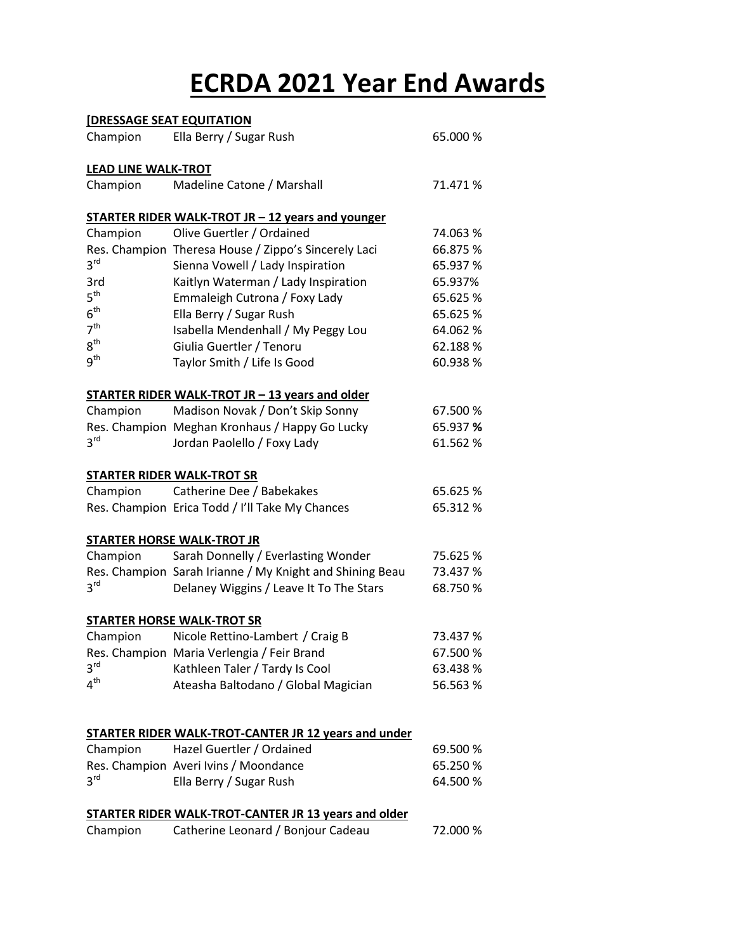# **ECRDA 2021 Year End Awards**

| <b>[DRESSAGE SEAT EQUITATION</b>                            |                                                          |          |  |  |  |
|-------------------------------------------------------------|----------------------------------------------------------|----------|--|--|--|
| Champion                                                    | Ella Berry / Sugar Rush                                  | 65.000 % |  |  |  |
| <b>LEAD LINE WALK-TROT</b>                                  |                                                          |          |  |  |  |
| Champion                                                    | Madeline Catone / Marshall                               | 71.471 % |  |  |  |
|                                                             | <b>STARTER RIDER WALK-TROT JR – 12 years and younger</b> |          |  |  |  |
| Champion                                                    | Olive Guertler / Ordained                                | 74.063 % |  |  |  |
|                                                             | Res. Champion Theresa House / Zippo's Sincerely Laci     | 66.875 % |  |  |  |
| 3 <sup>rd</sup>                                             | Sienna Vowell / Lady Inspiration                         | 65.937 % |  |  |  |
| 3rd                                                         | Kaitlyn Waterman / Lady Inspiration                      | 65.937%  |  |  |  |
| 5 <sup>th</sup>                                             | Emmaleigh Cutrona / Foxy Lady                            | 65.625 % |  |  |  |
| 6 <sup>th</sup>                                             | Ella Berry / Sugar Rush                                  | 65.625 % |  |  |  |
| 7 <sup>th</sup>                                             | Isabella Mendenhall / My Peggy Lou                       | 64.062 % |  |  |  |
| $8^{\text{th}}$                                             | Giulia Guertler / Tenoru                                 | 62.188%  |  |  |  |
| g <sup>th</sup>                                             | Taylor Smith / Life Is Good                              | 60.938 % |  |  |  |
|                                                             | STARTER RIDER WALK-TROT JR - 13 years and older          |          |  |  |  |
| Champion                                                    | Madison Novak / Don't Skip Sonny                         | 67.500 % |  |  |  |
|                                                             | Res. Champion Meghan Kronhaus / Happy Go Lucky           | 65.937 % |  |  |  |
| 3 <sup>rd</sup>                                             | Jordan Paolello / Foxy Lady                              | 61.562 % |  |  |  |
|                                                             | <b>STARTER RIDER WALK-TROT SR</b>                        |          |  |  |  |
| Champion                                                    | Catherine Dee / Babekakes                                | 65.625 % |  |  |  |
|                                                             | Res. Champion Erica Todd / I'll Take My Chances          | 65.312 % |  |  |  |
|                                                             | <b>STARTER HORSE WALK-TROT JR</b>                        |          |  |  |  |
| Champion                                                    | Sarah Donnelly / Everlasting Wonder                      | 75.625 % |  |  |  |
|                                                             | Res. Champion Sarah Irianne / My Knight and Shining Beau | 73.437 % |  |  |  |
| 3 <sup>rd</sup>                                             | Delaney Wiggins / Leave It To The Stars                  | 68.750 % |  |  |  |
| <b>STARTER HORSE WALK-TROT SR</b>                           |                                                          |          |  |  |  |
| Champion                                                    | Nicole Rettino-Lambert / Craig B                         | 73.437 % |  |  |  |
|                                                             | Res. Champion Maria Verlengia / Feir Brand               | 67.500 % |  |  |  |
| 3 <sup>rd</sup>                                             | Kathleen Taler / Tardy Is Cool                           | 63.438 % |  |  |  |
| 4 <sup>th</sup>                                             | Ateasha Baltodano / Global Magician                      | 56.563 % |  |  |  |
|                                                             |                                                          |          |  |  |  |
| <b>STARTER RIDER WALK-TROT-CANTER JR 12 years and under</b> |                                                          |          |  |  |  |
| Champion                                                    | Hazel Guertler / Ordained                                | 69.500 % |  |  |  |
|                                                             | Res. Champion Averi Ivins / Moondance                    | 65.250 % |  |  |  |
| 3 <sup>rd</sup>                                             | Ella Berry / Sugar Rush                                  | 64.500 % |  |  |  |
| <b>STARTER RIDER WALK-TROT-CANTER JR 13 years and older</b> |                                                          |          |  |  |  |

| Champion | Catherine Leonard / Bonjour Cadeau |  | 72.000 % |
|----------|------------------------------------|--|----------|
|----------|------------------------------------|--|----------|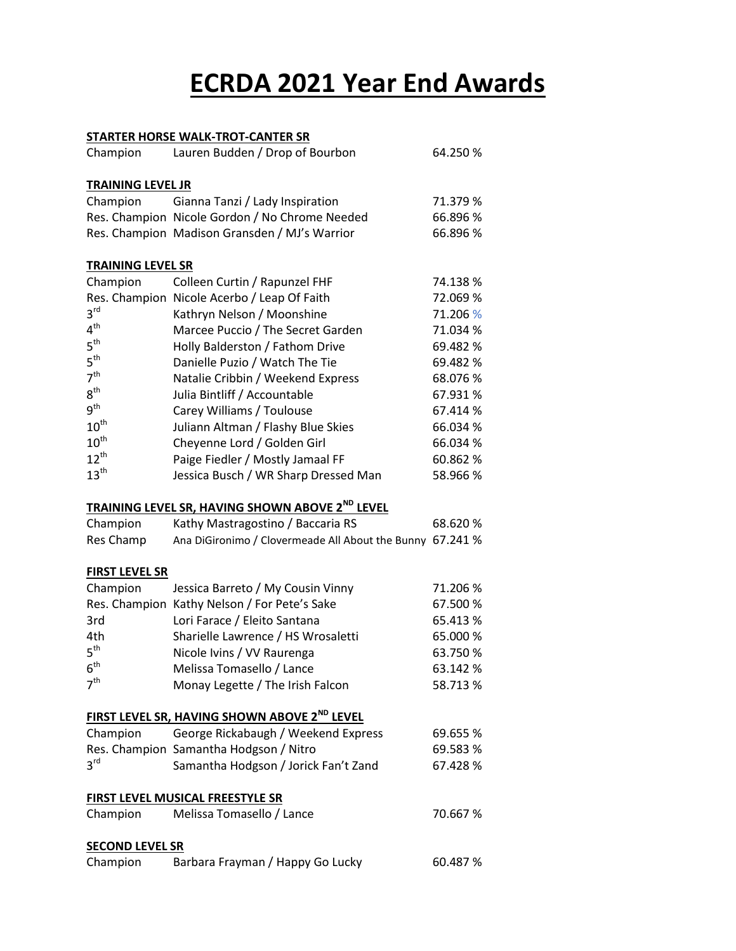# **ECRDA 2021 Year End Awards**

#### **STARTER HORSE WALK-TROT-CANTER SR** Champion Lauren Budden / Drop of Bourbon 64.250 % **TRAINING LEVEL JR** Champion Gianna Tanzi / Lady Inspiration 71.379 % Res. Champion Nicole Gordon / No Chrome Needed 66.896 % Res. Champion Madison Gransden / MJ's Warrior 66.896 % **TRAINING LEVEL SR** Champion Colleen Curtin / Rapunzel FHF 74.138 % Res. Champion Nicole Acerbo / Leap Of Faith 72.069 %  $3<sup>rd</sup>$ Kathryn Nelson / Moonshine 71.206 %  $4<sup>th</sup>$ Marcee Puccio / The Secret Garden 71.034 %  $5<sup>th</sup>$ Holly Balderston / Fathom Drive 69.482 %  $5<sup>th</sup>$ Danielle Puzio / Watch The Tie 69.482 %  $7<sup>th</sup>$ Natalie Cribbin / Weekend Express 68.076 %  $8^{\text{th}}$ Julia Bintliff / Accountable 67.931 %  $9<sup>th</sup>$ Carey Williams / Toulouse 67.414 %  $10^{\text{th}}$ Juliann Altman / Flashy Blue Skies 66.034 %  $10^{\text{th}}$ Cheyenne Lord / Golden Girl 66.034 %  $12^{th}$ Paige Fiedler / Mostly Jamaal FF 60.862 %  $13<sup>th</sup>$ Jessica Busch / WR Sharp Dressed Man 58.966 % **TRAINING LEVEL SR, HAVING SHOWN ABOVE 2ND LEVEL** Champion Kathy Mastragostino / Baccaria RS 68.620 % Res Champ Ana DiGironimo / Clovermeade All About the Bunny 67.241 % **FIRST LEVEL SR** Champion Jessica Barreto / My Cousin Vinny 71.206 % Res. Champion Kathy Nelson / For Pete's Sake 67.500 % 3rd Lori Farace / Eleito Santana 65.413 % 4th Sharielle Lawrence / HS Wrosaletti 65.000 %  $5^{\text{th}}$ Nicole Ivins / VV Raurenga 63.750 %  $6<sup>th</sup>$ Melissa Tomasello / Lance 63.142 %  $7<sup>th</sup>$ Monay Legette / The Irish Falcon 58.713 % **FIRST LEVEL SR, HAVING SHOWN ABOVE 2ND LEVEL** Champion George Rickabaugh / Weekend Express 69.655 % Res. Champion Samantha Hodgson / Nitro 69.583 %  $3^{\text{rd}}$ Samantha Hodgson / Jorick Fan't Zand 67.428 % **FIRST LEVEL MUSICAL FREESTYLE SR** Champion Melissa Tomasello / Lance 70.667 % **SECOND LEVEL SR** Champion Barbara Frayman / Happy Go Lucky 60.487 %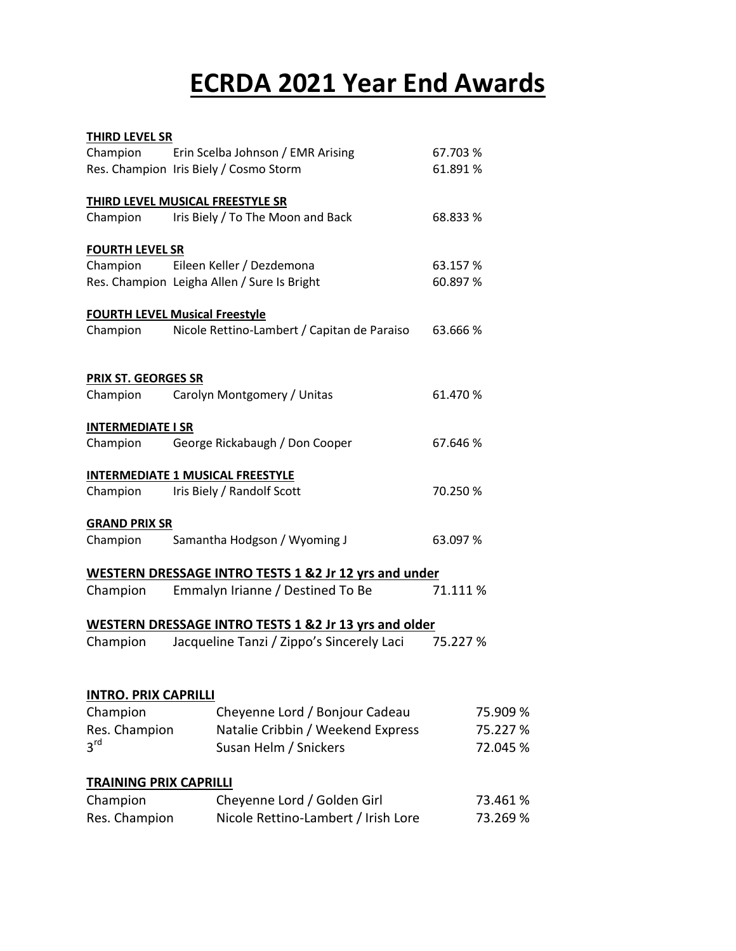# **ECRDA 2021 Year End Awards**

| <b>THIRD LEVEL SR</b>         |                                                                  |          |
|-------------------------------|------------------------------------------------------------------|----------|
| Champion                      | Erin Scelba Johnson / EMR Arising                                | 67.703 % |
|                               | Res. Champion Iris Biely / Cosmo Storm                           | 61.891 % |
|                               | THIRD LEVEL MUSICAL FREESTYLE SR                                 |          |
| Champion                      | Iris Biely / To The Moon and Back                                | 68.833 % |
| <b>FOURTH LEVEL SR</b>        |                                                                  |          |
| Champion                      | Eileen Keller / Dezdemona                                        | 63.157%  |
|                               | Res. Champion Leigha Allen / Sure Is Bright                      | 60.897 % |
|                               | <b>FOURTH LEVEL Musical Freestyle</b>                            |          |
| Champion                      | Nicole Rettino-Lambert / Capitan de Paraiso                      | 63.666 % |
| <b>PRIX ST. GEORGES SR</b>    |                                                                  |          |
| Champion                      | Carolyn Montgomery / Unitas                                      | 61.470 % |
| <b>INTERMEDIATE I SR</b>      |                                                                  |          |
| Champion                      | George Rickabaugh / Don Cooper                                   | 67.646 % |
|                               | <b>INTERMEDIATE 1 MUSICAL FREESTYLE</b>                          |          |
| Champion                      | Iris Biely / Randolf Scott                                       | 70.250 % |
| <b>GRAND PRIX SR</b>          |                                                                  |          |
| Champion                      | Samantha Hodgson / Wyoming J                                     | 63.097 % |
|                               | <b>WESTERN DRESSAGE INTRO TESTS 1 &amp;2 Jr 12 yrs and under</b> |          |
| Champion                      | Emmalyn Irianne / Destined To Be                                 | 71.111 % |
|                               | <b>WESTERN DRESSAGE INTRO TESTS 1 &amp;2 Jr 13 yrs and older</b> |          |
| Champion                      | Jacqueline Tanzi / Zippo's Sincerely Laci                        | 75.227 % |
| <b>INTRO. PRIX CAPRILLI</b>   |                                                                  |          |
| Champion                      | Cheyenne Lord / Bonjour Cadeau                                   | 75.909 % |
| Res. Champion                 | Natalie Cribbin / Weekend Express                                | 75.227 % |
| $3^{\text{rd}}$               | Susan Helm / Snickers                                            | 72.045 % |
| <b>TRAINING PRIX CAPRILLI</b> |                                                                  |          |
| Champion                      | Cheyenne Lord / Golden Girl                                      | 73.461%  |
| Res. Champion                 | Nicole Rettino-Lambert / Irish Lore                              | 73.269 % |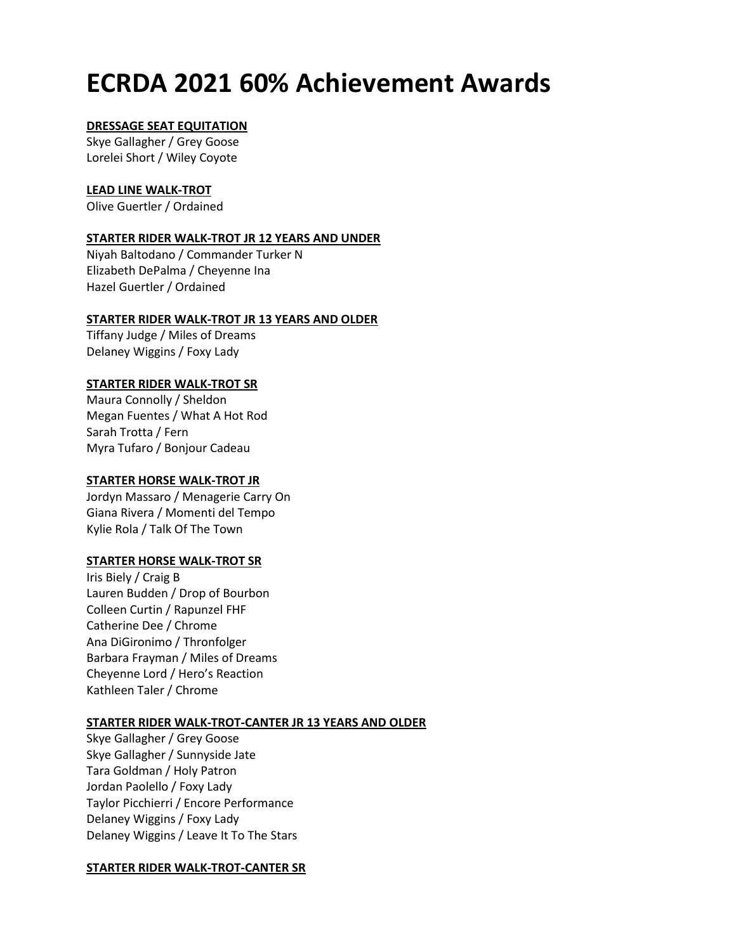## **ECRDA 2021 60% Achievement Awards**

### **DRESSAGE SEAT EQUITATION**

Skye Gallagher / Grey Goose Lorelei Short / Wiley Coyote

### **LEAD LINE WALK-TROT**

Olive Guertler / Ordained

### **STARTER RIDER WALK-TROT JR 12 YEARS AND UNDER**

Niyah Baltodano / Commander Turker N Elizabeth DePalma / Cheyenne Ina Hazel Guertler / Ordained

## **STARTER RIDER WALK-TROT JR 13 YEARS AND OLDER**

Tiffany Judge / Miles of Dreams Delaney Wiggins / Foxy Lady

## **STARTER RIDER WALK-TROT SR**

Maura Connolly / Sheldon Megan Fuentes / What A Hot Rod Sarah Trotta / Fern Myra Tufaro / Bonjour Cadeau

## **STARTER HORSE WALK-TROT JR**

Jordyn Massaro / Menagerie Carry On Giana Rivera / Momenti del Tempo Kylie Rola / Talk Of The Town

## **STARTER HORSE WALK-TROT SR**

Iris Biely / Craig B Lauren Budden / Drop of Bourbon Colleen Curtin / Rapunzel FHF Catherine Dee / Chrome Ana DiGironimo / Thronfolger Barbara Frayman / Miles of Dreams Cheyenne Lord / Hero's Reaction Kathleen Taler / Chrome

## **STARTER RIDER WALK-TROT-CANTER JR 13 YEARS AND OLDER**

Skye Gallagher / Grey Goose Skye Gallagher / Sunnyside Jate Tara Goldman / Holy Patron Jordan Paolello / Foxy Lady Taylor Picchierri / Encore Performance Delaney Wiggins / Foxy Lady Delaney Wiggins / Leave It To The Stars

## **STARTER RIDER WALK-TROT-CANTER SR**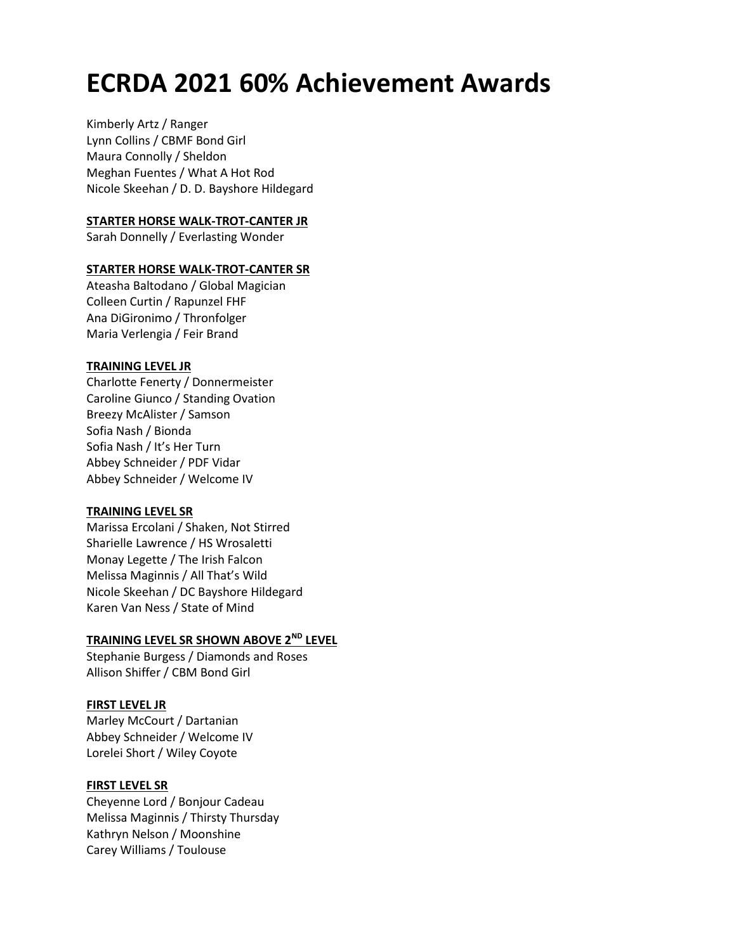## **ECRDA 2021 60% Achievement Awards**

Kimberly Artz / Ranger Lynn Collins / CBMF Bond Girl Maura Connolly / Sheldon Meghan Fuentes / What A Hot Rod Nicole Skeehan / D. D. Bayshore Hildegard

### **STARTER HORSE WALK-TROT-CANTER JR**

Sarah Donnelly / Everlasting Wonder

#### **STARTER HORSE WALK-TROT-CANTER SR**

Ateasha Baltodano / Global Magician Colleen Curtin / Rapunzel FHF Ana DiGironimo / Thronfolger Maria Verlengia / Feir Brand

#### **TRAINING LEVEL JR**

Charlotte Fenerty / Donnermeister Caroline Giunco / Standing Ovation Breezy McAlister / Samson Sofia Nash / Bionda Sofia Nash / It's Her Turn Abbey Schneider / PDF Vidar Abbey Schneider / Welcome IV

#### **TRAINING LEVEL SR**

Marissa Ercolani / Shaken, Not Stirred Sharielle Lawrence / HS Wrosaletti Monay Legette / The Irish Falcon Melissa Maginnis / All That's Wild Nicole Skeehan / DC Bayshore Hildegard Karen Van Ness / State of Mind

## **TRAINING LEVEL SR SHOWN ABOVE 2ND LEVEL**

Stephanie Burgess / Diamonds and Roses Allison Shiffer / CBM Bond Girl

#### **FIRST LEVEL JR**

Marley McCourt / Dartanian Abbey Schneider / Welcome IV Lorelei Short / Wiley Coyote

#### **FIRST LEVEL SR**

Cheyenne Lord / Bonjour Cadeau Melissa Maginnis / Thirsty Thursday Kathryn Nelson / Moonshine Carey Williams / Toulouse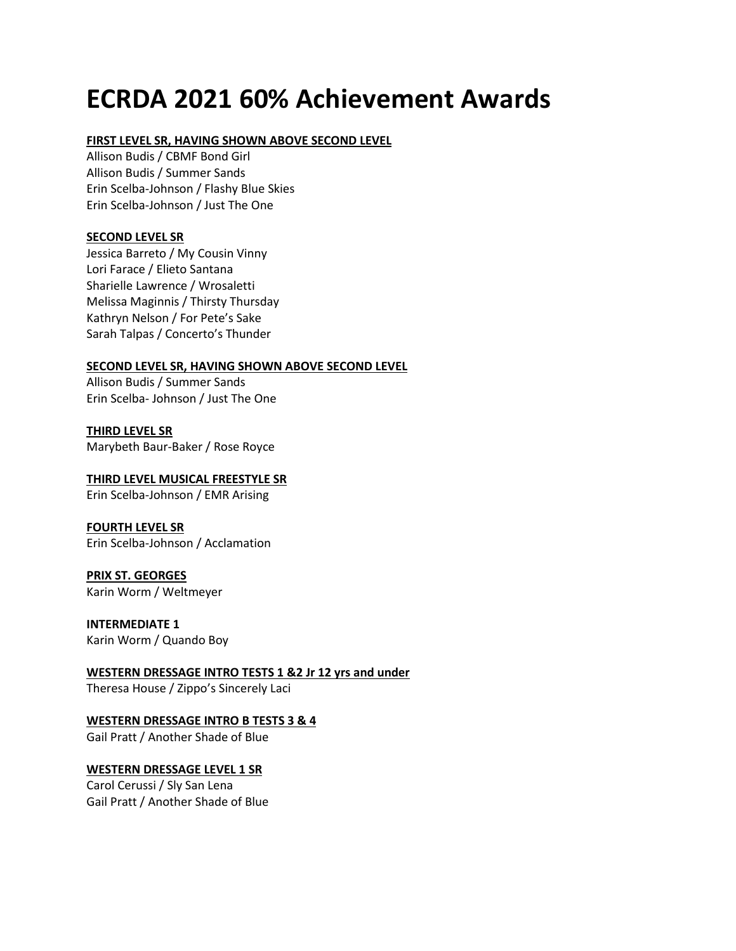# **ECRDA 2021 60% Achievement Awards**

### **FIRST LEVEL SR, HAVING SHOWN ABOVE SECOND LEVEL**

Allison Budis / CBMF Bond Girl Allison Budis / Summer Sands Erin Scelba-Johnson / Flashy Blue Skies Erin Scelba-Johnson / Just The One

### **SECOND LEVEL SR**

Jessica Barreto / My Cousin Vinny Lori Farace / Elieto Santana Sharielle Lawrence / Wrosaletti Melissa Maginnis / Thirsty Thursday Kathryn Nelson / For Pete's Sake Sarah Talpas / Concerto's Thunder

#### **SECOND LEVEL SR, HAVING SHOWN ABOVE SECOND LEVEL**

Allison Budis / Summer Sands Erin Scelba- Johnson / Just The One

**THIRD LEVEL SR** Marybeth Baur-Baker / Rose Royce

**THIRD LEVEL MUSICAL FREESTYLE SR** Erin Scelba-Johnson / EMR Arising

**FOURTH LEVEL SR** Erin Scelba-Johnson / Acclamation

**PRIX ST. GEORGES** Karin Worm / Weltmeyer

**INTERMEDIATE 1** Karin Worm / Quando Boy

**WESTERN DRESSAGE INTRO TESTS 1 &2 Jr 12 yrs and under**

Theresa House / Zippo's Sincerely Laci

## **WESTERN DRESSAGE INTRO B TESTS 3 & 4**

Gail Pratt / Another Shade of Blue

## **WESTERN DRESSAGE LEVEL 1 SR**

Carol Cerussi / Sly San Lena Gail Pratt / Another Shade of Blue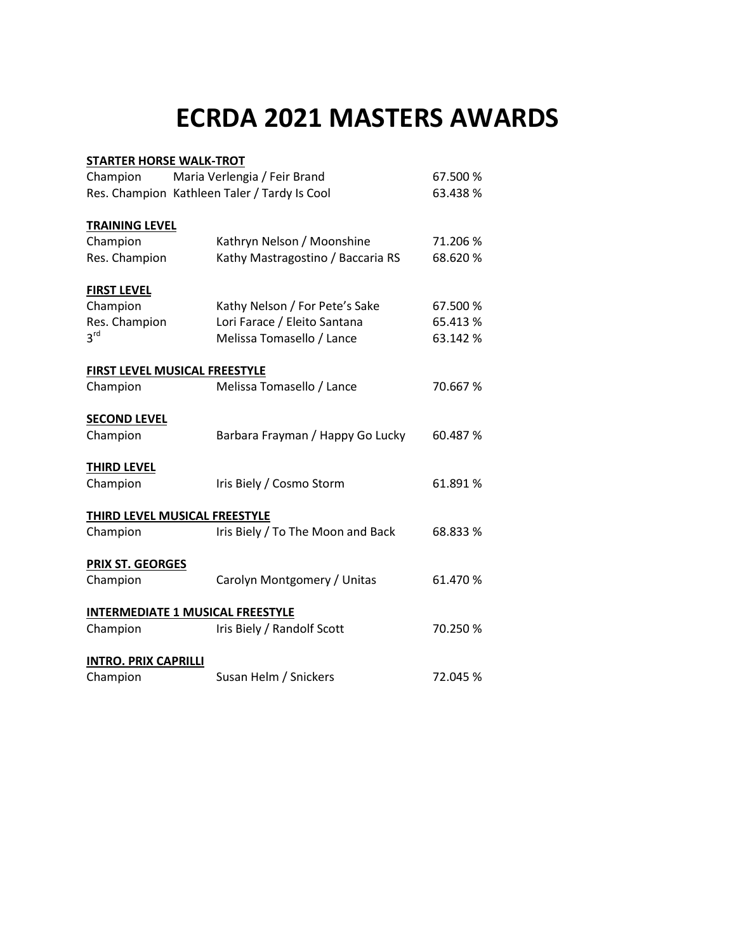# **ECRDA 2021 MASTERS AWARDS**

| <b>STARTER HORSE WALK-TROT</b>               |                                   |          |  |  |  |
|----------------------------------------------|-----------------------------------|----------|--|--|--|
| Champion                                     | Maria Verlengia / Feir Brand      | 67.500 % |  |  |  |
| Res. Champion Kathleen Taler / Tardy Is Cool |                                   | 63.438 % |  |  |  |
|                                              |                                   |          |  |  |  |
| <b>TRAINING LEVEL</b>                        |                                   |          |  |  |  |
| Champion                                     | Kathryn Nelson / Moonshine        | 71.206 % |  |  |  |
| Res. Champion                                | Kathy Mastragostino / Baccaria RS | 68.620 % |  |  |  |
| <b>FIRST LEVEL</b>                           |                                   |          |  |  |  |
| Champion                                     | Kathy Nelson / For Pete's Sake    | 67.500 % |  |  |  |
| Res. Champion                                | Lori Farace / Eleito Santana      | 65.413 % |  |  |  |
| 3 <sup>rd</sup>                              | Melissa Tomasello / Lance         | 63.142 % |  |  |  |
| FIRST LEVEL MUSICAL FREESTYLE                |                                   |          |  |  |  |
| Champion                                     | Melissa Tomasello / Lance         | 70.667 % |  |  |  |
|                                              |                                   |          |  |  |  |
| <b>SECOND LEVEL</b>                          |                                   |          |  |  |  |
| Champion                                     | Barbara Frayman / Happy Go Lucky  | 60.487 % |  |  |  |
| <b>THIRD LEVEL</b>                           |                                   |          |  |  |  |
| Champion                                     | Iris Biely / Cosmo Storm          | 61.891 % |  |  |  |
| THIRD LEVEL MUSICAL FREESTYLE                |                                   |          |  |  |  |
| Champion                                     | Iris Biely / To The Moon and Back | 68.833 % |  |  |  |
|                                              |                                   |          |  |  |  |
| <b>PRIX ST. GEORGES</b>                      |                                   |          |  |  |  |
| Champion                                     | Carolyn Montgomery / Unitas       | 61.470 % |  |  |  |
| <b>INTERMEDIATE 1 MUSICAL FREESTYLE</b>      |                                   |          |  |  |  |
| Champion                                     | Iris Biely / Randolf Scott        | 70.250 % |  |  |  |
|                                              |                                   |          |  |  |  |
| <b>INTRO. PRIX CAPRILLI</b>                  |                                   |          |  |  |  |
| Champion                                     | Susan Helm / Snickers             | 72.045 % |  |  |  |